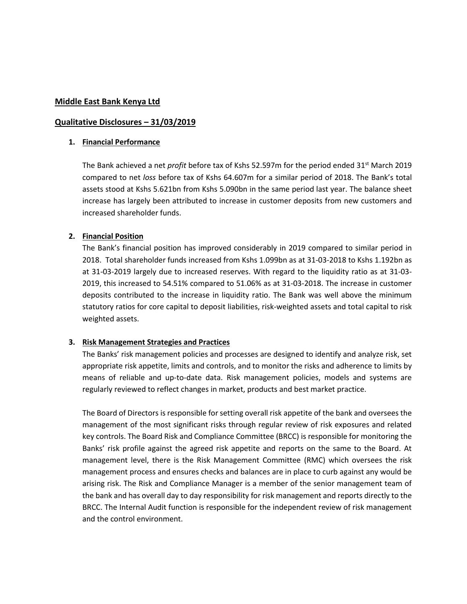### **Middle East Bank Kenya Ltd**

### **Qualitative Disclosures – 31/03/2019**

#### **1. Financial Performance**

The Bank achieved a net *profit* before tax of Kshs 52.597m for the period ended 31<sup>st</sup> March 2019 compared to net *loss* before tax of Kshs 64.607m for a similar period of 2018. The Bank's total assets stood at Kshs 5.621bn from Kshs 5.090bn in the same period last year. The balance sheet increase has largely been attributed to increase in customer deposits from new customers and increased shareholder funds.

## **2. Financial Position**

The Bank's financial position has improved considerably in 2019 compared to similar period in 2018. Total shareholder funds increased from Kshs 1.099bn as at 31-03-2018 to Kshs 1.192bn as at 31-03-2019 largely due to increased reserves. With regard to the liquidity ratio as at 31-03- 2019, this increased to 54.51% compared to 51.06% as at 31-03-2018. The increase in customer deposits contributed to the increase in liquidity ratio. The Bank was well above the minimum statutory ratios for core capital to deposit liabilities, risk-weighted assets and total capital to risk weighted assets.

## **3. Risk Management Strategies and Practices**

The Banks' risk management policies and processes are designed to identify and analyze risk, set appropriate risk appetite, limits and controls, and to monitor the risks and adherence to limits by means of reliable and up-to-date data. Risk management policies, models and systems are regularly reviewed to reflect changes in market, products and best market practice.

The Board of Directors is responsible for setting overall risk appetite of the bank and oversees the management of the most significant risks through regular review of risk exposures and related key controls. The Board Risk and Compliance Committee (BRCC) is responsible for monitoring the Banks' risk profile against the agreed risk appetite and reports on the same to the Board. At management level, there is the Risk Management Committee (RMC) which oversees the risk management process and ensures checks and balances are in place to curb against any would be arising risk. The Risk and Compliance Manager is a member of the senior management team of the bank and has overall day to day responsibility for risk management and reports directly to the BRCC. The Internal Audit function is responsible for the independent review of risk management and the control environment.